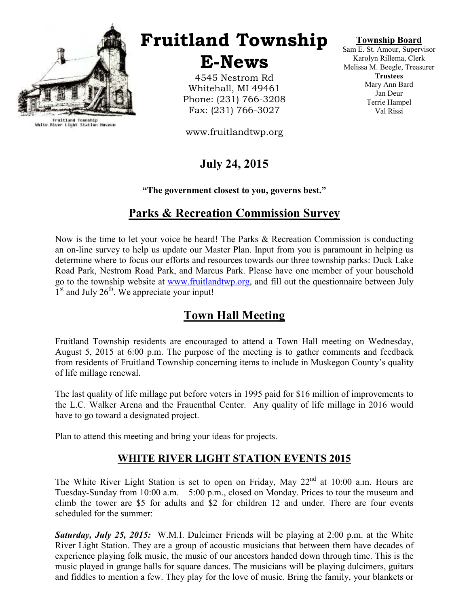

Fruitland Township<br>White River Light Station Museum

# Fruitland Township

E-News

4545 Nestrom Rd Whitehall, MI 49461 Phone: (231) 766-3208 Fax: (231) 766-3027

www.fruitlandtwp.org

## July 24, 2015

"The government closest to you, governs best."

### Parks & Recreation Commission Survey

Now is the time to let your voice be heard! The Parks & Recreation Commission is conducting an on-line survey to help us update our Master Plan. Input from you is paramount in helping us determine where to focus our efforts and resources towards our three township parks: Duck Lake Road Park, Nestrom Road Park, and Marcus Park. Please have one member of your household go to the township website at www.fruitlandtwp.org, and fill out the questionnaire between July 1<sup>st</sup> and July 26<sup>th</sup>. We appreciate your input!

### Town Hall Meeting

Fruitland Township residents are encouraged to attend a Town Hall meeting on Wednesday, August 5, 2015 at 6:00 p.m. The purpose of the meeting is to gather comments and feedback from residents of Fruitland Township concerning items to include in Muskegon County's quality of life millage renewal.

The last quality of life millage put before voters in 1995 paid for \$16 million of improvements to the L.C. Walker Arena and the Frauenthal Center. Any quality of life millage in 2016 would have to go toward a designated project.

Plan to attend this meeting and bring your ideas for projects.

### WHITE RIVER LIGHT STATION EVENTS 2015

The White River Light Station is set to open on Friday, May  $22<sup>nd</sup>$  at 10:00 a.m. Hours are Tuesday-Sunday from 10:00 a.m. – 5:00 p.m., closed on Monday. Prices to tour the museum and climb the tower are \$5 for adults and \$2 for children 12 and under. There are four events scheduled for the summer:

Saturday, July 25, 2015: W.M.I. Dulcimer Friends will be playing at 2:00 p.m. at the White River Light Station. They are a group of acoustic musicians that between them have decades of experience playing folk music, the music of our ancestors handed down through time. This is the music played in grange halls for square dances. The musicians will be playing dulcimers, guitars and fiddles to mention a few. They play for the love of music. Bring the family, your blankets or

### Township Board

Sam E. St. Amour, Supervisor Karolyn Rillema, Clerk Melissa M. Beegle, Treasurer **Trustees** Mary Ann Bard Jan Deur Terrie Hampel Val Rissi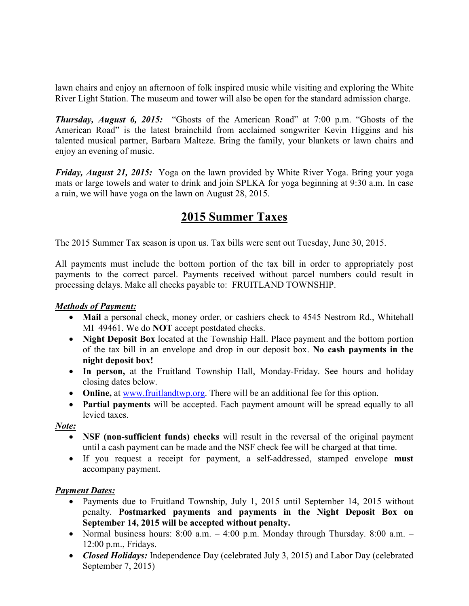lawn chairs and enjoy an afternoon of folk inspired music while visiting and exploring the White River Light Station. The museum and tower will also be open for the standard admission charge.

Thursday, August 6, 2015: "Ghosts of the American Road" at 7:00 p.m. "Ghosts of the American Road" is the latest brainchild from acclaimed songwriter Kevin Higgins and his talented musical partner, Barbara Malteze. Bring the family, your blankets or lawn chairs and enjoy an evening of music.

Friday, August 21, 2015: Yoga on the lawn provided by White River Yoga. Bring your yoga mats or large towels and water to drink and join SPLKA for yoga beginning at 9:30 a.m. In case a rain, we will have yoga on the lawn on August 28, 2015.

### 2015 Summer Taxes

The 2015 Summer Tax season is upon us. Tax bills were sent out Tuesday, June 30, 2015.

All payments must include the bottom portion of the tax bill in order to appropriately post payments to the correct parcel. Payments received without parcel numbers could result in processing delays. Make all checks payable to: FRUITLAND TOWNSHIP.

### Methods of Payment:

- Mail a personal check, money order, or cashiers check to 4545 Nestrom Rd., Whitehall MI 49461. We do NOT accept postdated checks.
- Night Deposit Box located at the Township Hall. Place payment and the bottom portion of the tax bill in an envelope and drop in our deposit box. No cash payments in the night deposit box!
- In person, at the Fruitland Township Hall, Monday-Friday. See hours and holiday closing dates below.
- Online, at www.fruitlandtwp.org. There will be an additional fee for this option.
- Partial payments will be accepted. Each payment amount will be spread equally to all levied taxes.

Note:

- NSF (non-sufficient funds) checks will result in the reversal of the original payment until a cash payment can be made and the NSF check fee will be charged at that time.
- If you request a receipt for payment, a self-addressed, stamped envelope **must** accompany payment.

### Payment Dates:

- Payments due to Fruitland Township, July 1, 2015 until September 14, 2015 without penalty. Postmarked payments and payments in the Night Deposit Box on September 14, 2015 will be accepted without penalty.
- Normal business hours:  $8:00$  a.m.  $-4:00$  p.m. Monday through Thursday.  $8:00$  a.m.  $-$ 12:00 p.m., Fridays.
- Closed Holidays: Independence Day (celebrated July 3, 2015) and Labor Day (celebrated September 7, 2015)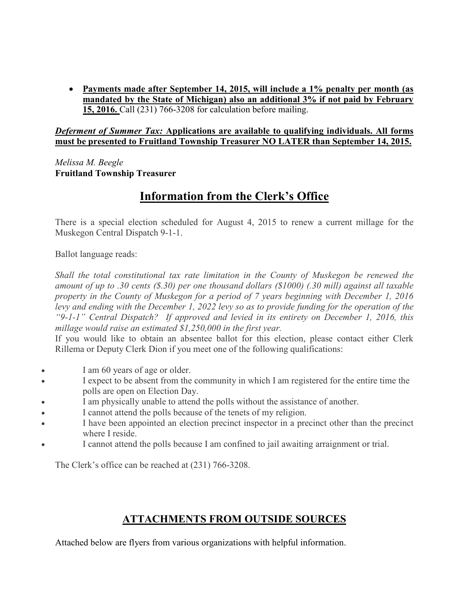• Payments made after September 14, 2015, will include a 1% penalty per month (as mandated by the State of Michigan) also an additional 3% if not paid by February 15, 2016. Call (231) 766-3208 for calculation before mailing.

#### Deferment of Summer Tax: Applications are available to qualifying individuals. All forms must be presented to Fruitland Township Treasurer NO LATER than September 14, 2015.

Melissa M. Beegle Fruitland Township Treasurer

## Information from the Clerk's Office

There is a special election scheduled for August 4, 2015 to renew a current millage for the Muskegon Central Dispatch 9-1-1.

Ballot language reads:

Shall the total constitutional tax rate limitation in the County of Muskegon be renewed the amount of up to .30 cents (\$.30) per one thousand dollars (\$1000) (.30 mill) against all taxable property in the County of Muskegon for a period of 7 years beginning with December 1, 2016 levy and ending with the December 1, 2022 levy so as to provide funding for the operation of the "9-1-1" Central Dispatch? If approved and levied in its entirety on December 1, 2016, this millage would raise an estimated \$1,250,000 in the first year.

If you would like to obtain an absentee ballot for this election, please contact either Clerk Rillema or Deputy Clerk Dion if you meet one of the following qualifications:

- I am 60 years of age or older.
- I expect to be absent from the community in which I am registered for the entire time the polls are open on Election Day.
- I am physically unable to attend the polls without the assistance of another.
- I cannot attend the polls because of the tenets of my religion.
- I have been appointed an election precinct inspector in a precinct other than the precinct where I reside.
- I cannot attend the polls because I am confined to jail awaiting arraignment or trial.

The Clerk's office can be reached at (231) 766-3208.

### ATTACHMENTS FROM OUTSIDE SOURCES

Attached below are flyers from various organizations with helpful information.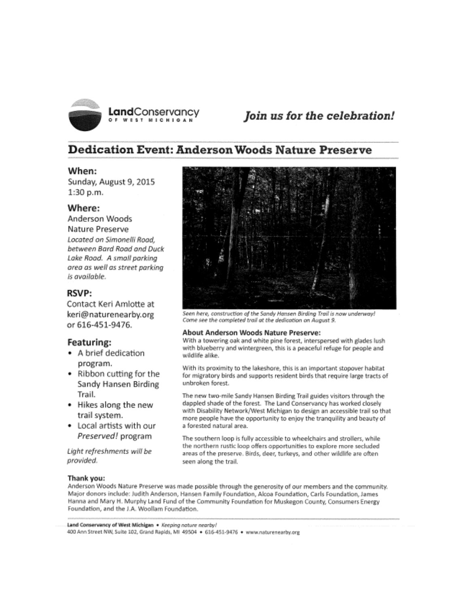

### Join us for the celebration!

### **Dedication Event: Anderson Woods Nature Preserve**

#### When:

Sunday, August 9, 2015 1:30 p.m.

#### Where:

Anderson Woods

Nature Preserve Located on Simonelli Road. between Bard Road and Duck Lake Road. A small parking area as well as street parking is available.

#### **RSVP:**

Contact Keri Amlotte at keri@naturenearby.org or 616-451-9476.

#### Featuring:

- A brief dedication program.
- Ribbon cutting for the Sandy Hansen Birding Trail.
- Hikes along the new trail system.
- Local artists with our Preserved! program

Light refreshments will be provided.



Seen here, construction of the Sandy Hansen Birding Trail is now underway! Come see the completed trail at the dedication on August 9.

#### About Anderson Woods Nature Preserve:

With a towering oak and white pine forest, interspersed with glades lush with blueberry and wintergreen, this is a peaceful refuge for people and wildlife alike.

With its proximity to the lakeshore, this is an important stopover habitat for migratory birds and supports resident birds that require large tracts of unbroken forest.

The new two-mile Sandy Hansen Birding Trail guides visitors through the dappled shade of the forest. The Land Conservancy has worked closely with Disability Network/West Michigan to design an accessible trail so that more people have the opportunity to enjoy the tranquility and beauty of a forested natural area.

The southern loop is fully accessible to wheelchairs and strollers, while the northern rustic loop offers opportunities to explore more secluded areas of the preserve. Birds, deer, turkeys, and other wildlife are often seen along the trail.

#### Thank you:

Anderson Woods Nature Preserve was made possible through the generosity of our members and the community. Major donors include: Judith Anderson, Hansen Family Foundation, Alcoa Foundation, Carls Foundation, James Hanna and Mary H. Murphy Land Fund of the Community Foundation for Muskegon County, Consumers Energy Foundation, and the J.A. Woollam Foundation.

Land Conservancy of West Michigan . Keeping nature nearby! 400 Ann Street NW, Suite 102, Grand Rapids, MI 49504 . 616-451-9476 . www.naturenearby.org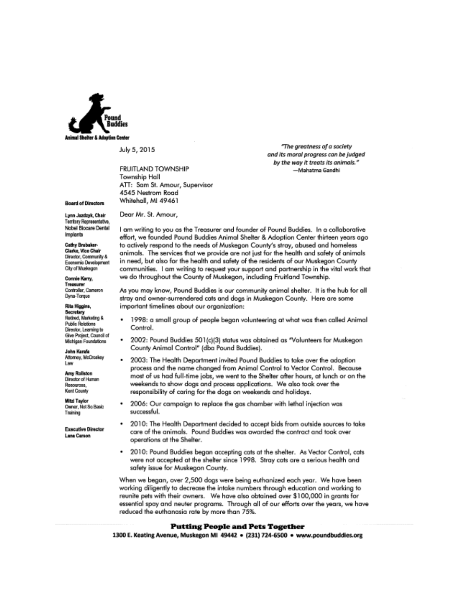

July 5, 2015

**FRUITLAND TOWNSHIP** Township Hall ATT: Sam St. Amour, Supervisor 4545 Nestrom Road Whitehall, MI 49461

#### **Board of Directors**

Lynn Jazdzyk, Chair Territory Recreaentative Nobel Biocare Dental Implants

Cathy Brubaker-Clarke, Vice Chair Director, Community & Economic Development City of Muskegan

Connie Karry, Treasure Controller, Cameron Dyna-Torque

Rita Higgins,

Secretary<br>Retired, Merketing & **Public Relations** Director, Learning to Give Project, Council of Michigan Foundations

John Karafa Attorney, McCroskey Law

**Amy Rollston** Director of Human Resources. Kent County

**Mitzi Tavior** Owner, Not So Basic Training

**Executive Director Lana Carson** 

Dear Mr. St. Amour,

I am writing to you as the Treasurer and founder of Pound Buddies. In a collaborative effort, we founded Pound Buddies Animal Shelter & Adoption Center thirteen years ago to actively respond to the needs of Muskegon County's stray, abused and homeless animals. The services that we provide are not just for the health and safety of animals in need, but also for the health and safety of the residents of our Muskegon County communities. I am writing to request your support and partnership in the vital work that we do throughout the County of Muskegon, including Fruitland Township.

As you may know, Pound Buddies is our community animal shelter. It is the hub for all stray and owner-surrendered cats and dogs in Muskegon County. Here are some important timelines about our organization:

- 1998: a small group of people began volunteering at what was then called Animal Control.
- 2002: Pound Buddies 501(c)(3) status was obtained as "Volunteers for Muskegon County Animal Control" (dba Pound Buddies).
- 2003: The Health Department invited Pound Buddies to take over the adoption process and the name changed from Animal Control to Vector Control. Because most of us had full-time jobs, we went to the Shelter after hours, at lunch or on the weekends to show dogs and process applications. We also took over the responsibility of caring for the dogs on weekends and holidays.
- 2006: Our campaign to replace the gas chamber with lethal injection was successful.
- 2010: The Health Department decided to accept bids from outside sources to take care of the animals. Pound Buddies was awarded the contract and took over operations at the Shelter.
- 2010: Pound Buddies began accepting cats at the shelter. As Vector Control, cats ٠ were not accepted at the shelter since 1998. Stray cats are a serious health and safety issue for Muskegon County.

When we began, over 2,500 dogs were being euthanized each year. We have been working diligently to decrease the intake numbers through education and working to reunite pets with their owners. We have also obtained over \$100,000 in grants for essential spay and neuter programs. Through all of our efforts over the years, we have reduced the euthanasia rate by more than 75%.

#### **Putting People and Pets Together**

1300 E. Keating Avenue, Muskegon MI 49442 · (231) 724-6500 · www.poundbuddies.org

"The areatness of a society and its moral progress can be judged by the way it treats its animals." -Mahatma Gandhi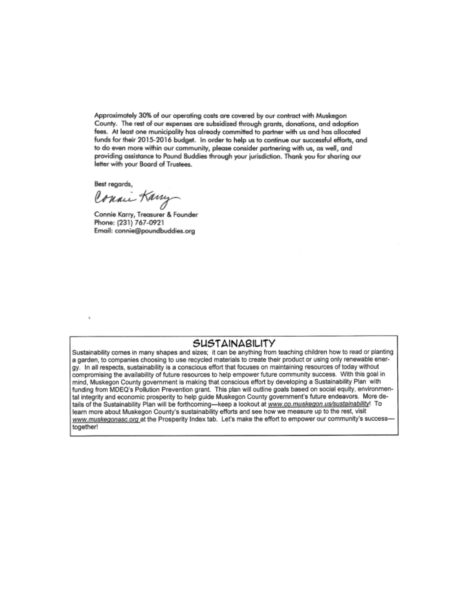Approximately 30% of our operating costs are covered by our contract with Muskegon County. The rest of our expenses are subsidized through grants, donations, and adoption fees. At least one municipality has already committed to partner with us and has allocated funds for their 2015-2016 budget. In order to help us to continue our successful efforts, and to do even more within our community, please consider partnering with us, as well, and providing assistance to Pound Buddies through your jurisdiction. Thank you for sharing our letter with your Board of Trustees.

Best regards,

Conai Kany

Connie Karry, Treasurer & Founder Phone: (231) 767-0921 Email: connie@poundbuddies.org

### SUSTAINABILITY

Sustainability comes in many shapes and sizes; it can be anything from teaching children how to read or planting a garden, to companies choosing to use recycled materials to create their product or using only renewable energy. In all respects, sustainability is a conscious effort that focuses on maintaining resources of today without compromising the availability of future resources to help empower future community success. With this goal in mind, Muskegon County government is making that conscious effort by developing a Sustainability Plan with funding from MDEQ's Pollution Prevention grant. This plan will outline goals based on social equity, environmental integrity and economic prosperity to help guide Muskegon County government's future endeavors. More details of the Sustainability Plan will be forthcoming-keep a lookout at www.co.muskegon.us/sustainability! To learn more about Muskegon County's sustainability efforts and see how we measure up to the rest, visit www.muskegonasc.org at the Prosperity Index tab. Let's make the effort to empower our community's successtogether!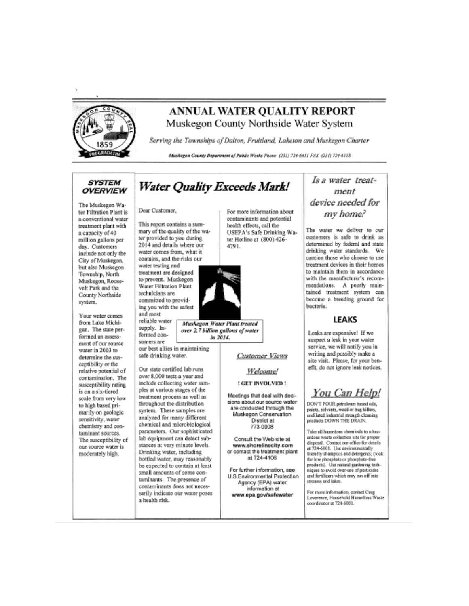

### ANNUAL WATER OUALITY REPORT Muskegon County Northside Water System

Serving the Townships of Dalton, Fruitland, Laketon and Muskegon Charter

Muskegon County Department of Public Works Phone (231) 724-6411 FAX (231) 724-6118

#### *SYSTEM* **OVERVIEW**

The Muskegon Water Filtration Plant is a conventional water treatment plant with a capacity of 40 million gallons per day. Customers include not only the City of Muskegon, but also Muskegon Township, North Muskegon, Roosevelt Park and the County Northside system.

Your water comes from Lake Michigan. The state performed an assessment of our source water in 2003 to determine the susceptibility or the relative potential of contamination. The susceptibility rating is on a six-tiered scale from very low to high based primarily on geologic sensitivity, water chemistry and contaminant sources. The susceptibility of our source water is moderately high.

## **Water Quality Exceeds Mark!**

Dear Customer,

This report contains a summary of the quality of the water provided to you during 2014 and details where our water comes from, what it contains, and the risks our water testing and

treatment are designed to prevent. Muskegon **Water Filtration Plant** technicians are committed to providing you with the safest and most

supply. In-

formed con-

reliable water

sumers are our best allies in maintaining safe drinking water.

Our state certified lab runs over 8,000 tests a year and include collecting water samples at various stages of the treatment process as well as throughout the distribution system. These samples are analyzed for many different chemical and microbiological parameters. Our sophisticated lab equipment can detect substances at very minute levels. Drinking water, including bottled water, may reasonably be expected to contain at least small amounts of some contaminants. The presence of contaminants does not necessarily indicate our water poses a health risk





Muskegon Water Plant treated over 2.7 billion gallons of water in 2014.

**Customer Views** 

Welcome!

: GET INVOLVED !

Meetings that deal with decisions about our source water are conducted through the Muskegon Conservation District at 773-0008

Consult the Web site at www.shorelinecity.com or contact the treatment plant at 724-4106

For further information, see U.S.Environmental Protection Agency (EPA) water information at www.epa.gov/safewater

### Is a water treatment device needed for my home?

The water we deliver to our customers is safe to drink as determined by federal and state drinking water standards. We caution those who choose to use treatment devices in their homes to maintain them in accordance with the manufacturer's recommendations. A poorly maintained treatment system can become a breeding ground for bacteria.

#### **LEAKS**

Leaks are expensive! If we suspect a leak in your water service, we will notify you in writing and possibly make a site visit. Please, for your benefit, do not ignore leak notices.

### You Can Help!

DON'T POUR pstroleum based oils, paints, solvents, wood or bug killers, undiluted industrial strength cleaning products DOWN THE DRAIN.

Take all hazardous chemicals to a hazardous waste collection site for aroner disposal. Contact our office for details at 724-6001. Use environmentally friendly shampoos and detergents; (look for low phosphate or phosphate-free products). Use natural gardening techniques to evoid over-use of pesticides and fertilizers which may run off into streams and lakes.

For more information, contact Greg Leverence, Household Hazardous Waste coordinator at 724-6001.